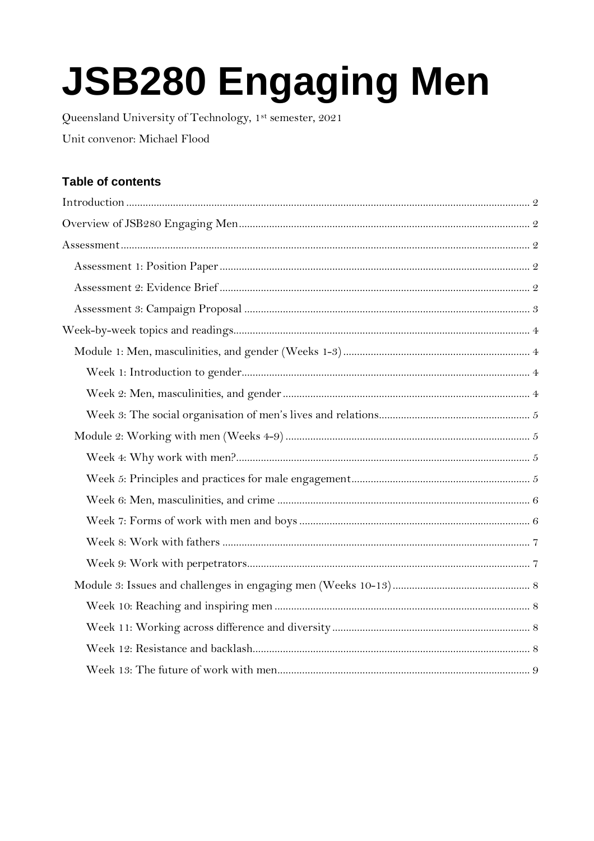# **JSB280 Engaging Men**

Queensland University of Technology, 1st semester, 2021 Unit convenor: Michael Flood

# Table of contents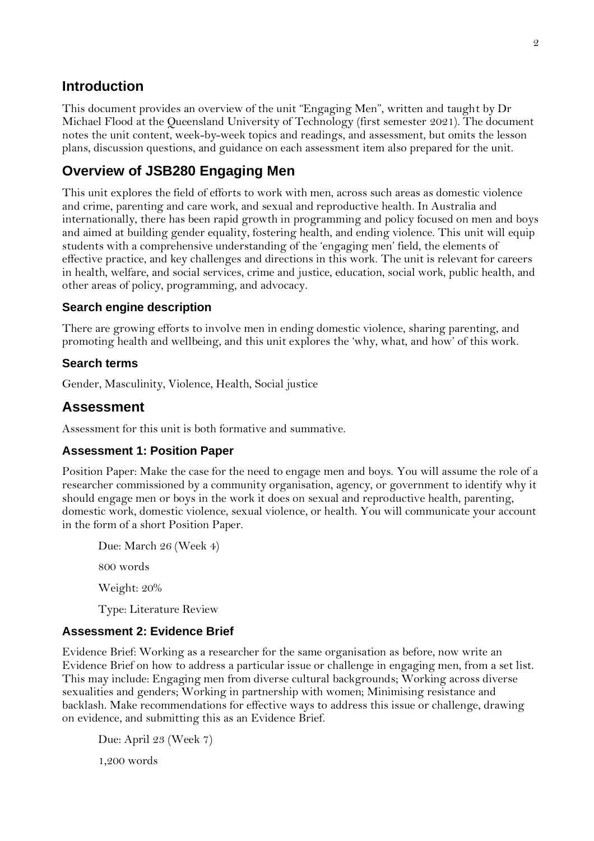# <span id="page-1-0"></span>**Introduction**

This document provides an overview of the unit "Engaging Men", written and taught by Dr Michael Flood at the Queensland University of Technology (first semester 2021). The document notes the unit content, week-by-week topics and readings, and assessment, but omits the lesson plans, discussion questions, and guidance on each assessment item also prepared for the unit.

# <span id="page-1-1"></span>**Overview of JSB280 Engaging Men**

This unit explores the field of efforts to work with men, across such areas as domestic violence and crime, parenting and care work, and sexual and reproductive health. In Australia and internationally, there has been rapid growth in programming and policy focused on men and boys and aimed at building gender equality, fostering health, and ending violence. This unit will equip students with a comprehensive understanding of the 'engaging men' field, the elements of effective practice, and key challenges and directions in this work. The unit is relevant for careers in health, welfare, and social services, crime and justice, education, social work, public health, and other areas of policy, programming, and advocacy.

## **Search engine description**

There are growing efforts to involve men in ending domestic violence, sharing parenting, and promoting health and wellbeing, and this unit explores the 'why, what, and how' of this work.

## **Search terms**

Gender, Masculinity, Violence, Health, Social justice

# <span id="page-1-2"></span>**Assessment**

Assessment for this unit is both formative and summative.

## <span id="page-1-3"></span>**Assessment 1: Position Paper**

Position Paper: Make the case for the need to engage men and boys. You will assume the role of a researcher commissioned by a community organisation, agency, or government to identify why it should engage men or boys in the work it does on sexual and reproductive health, parenting, domestic work, domestic violence, sexual violence, or health. You will communicate your account in the form of a short Position Paper.

Due: March 26 (Week 4) 800 words Weight: 20% Type: Literature Review

## <span id="page-1-4"></span>**Assessment 2: Evidence Brief**

Evidence Brief: Working as a researcher for the same organisation as before, now write an Evidence Brief on how to address a particular issue or challenge in engaging men, from a set list. This may include: Engaging men from diverse cultural backgrounds; Working across diverse sexualities and genders; Working in partnership with women; Minimising resistance and backlash. Make recommendations for effective ways to address this issue or challenge, drawing on evidence, and submitting this as an Evidence Brief.

Due: April 23 (Week 7) 1,200 words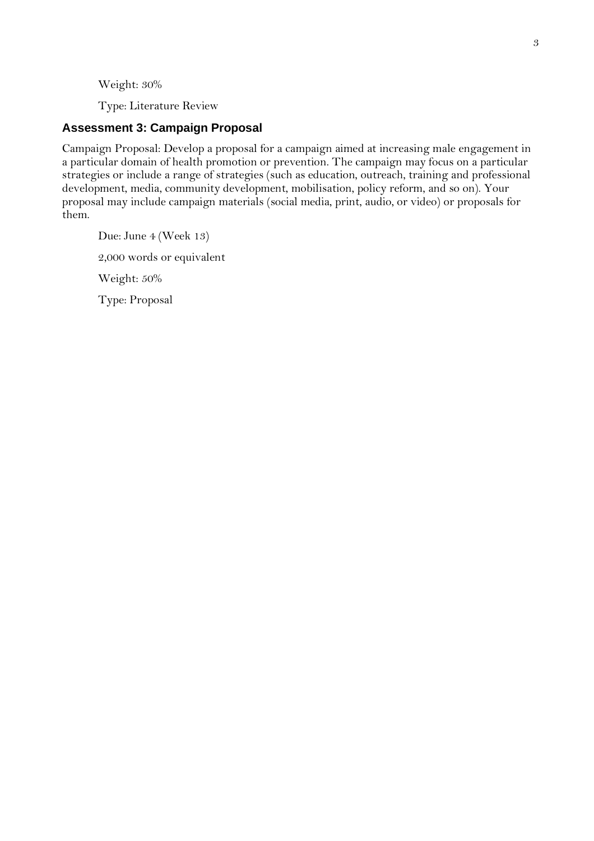Weight: 30%

Type: Literature Review

## <span id="page-2-0"></span>**Assessment 3: Campaign Proposal**

Campaign Proposal: Develop a proposal for a campaign aimed at increasing male engagement in a particular domain of health promotion or prevention. The campaign may focus on a particular strategies or include a range of strategies (such as education, outreach, training and professional development, media, community development, mobilisation, policy reform, and so on). Your proposal may include campaign materials (social media, print, audio, or video) or proposals for them.

Due: June 4 (Week 13) 2,000 words or equivalent Weight: 50% Type: Proposal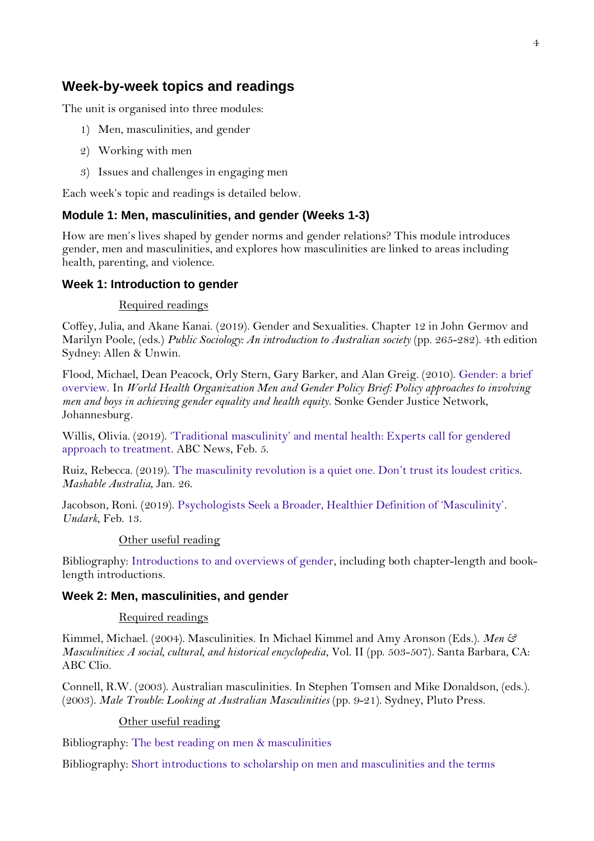## <span id="page-3-0"></span>**Week-by-week topics and readings**

The unit is organised into three modules:

- 1) Men, masculinities, and gender
- 2) Working with men
- 3) Issues and challenges in engaging men

Each week's topic and readings is detailed below.

## <span id="page-3-1"></span>**Module 1: Men, masculinities, and gender (Weeks 1-3)**

How are men's lives shaped by gender norms and gender relations? This module introduces gender, men and masculinities, and explores how masculinities are linked to areas including health, parenting, and violence.

## <span id="page-3-2"></span>**Week 1: Introduction to gender**

#### Required readings

Coffey, Julia, and Akane Kanai. (2019). Gender and Sexualities. Chapter 12 in John Germov and Marilyn Poole, (eds.) *Public Sociology: An introduction to Australian society* (pp. 265-282). 4th edition Sydney: Allen & Unwin.

Flood, Michael, Dean Peacock, Orly Stern, Gary Barker, and Alan Greig. (2010). [Gender: a brief](https://xyonline.net/content/gender-one-page-introduction)  [overview.](https://xyonline.net/content/gender-one-page-introduction) In *World Health Organization Men and Gender Policy Brief: Policy approaches to involving men and boys in achieving gender equality and health equity*. Sonke Gender Justice Network, Johannesburg.

Willis, Olivia. (2019). ['Traditional masculinity' and mental health: Experts call for gendered](https://www.abc.net.au/news/health/2019-02-05/mens-mental-health-masculinity-gendered-psychology-guidelines/10768294)  [approach to treatment.](https://www.abc.net.au/news/health/2019-02-05/mens-mental-health-masculinity-gendered-psychology-guidelines/10768294) ABC News, Feb. 5.

Ruiz, Rebecca. (2019). [The masculinity revolution is a quiet one. Don](https://mashable.com/article/gillette-ad-masculinity/#EGSsQWEX.Pqy)'t trust its loudest critics. *Mashable Australia*, Jan. 26.

Jacobson, Roni. (2019). [Psychologists Seek a Broader, Healthier Definition of 'Masculinity'](https://undark.org/2019/02/13/apa-guidelines-masculinity-psychology/). *Undark*, Feb. 13.

#### Other useful reading

Bibliography: [Introductions to and overviews of gender,](https://xyonline.net/books/bibliography/4-introductory-and-general-writing-gender/introductions-and-overviews) including both chapter-length and booklength introductions.

## <span id="page-3-3"></span>**Week 2: Men, masculinities, and gender**

## Required readings

Kimmel, Michael. (2004). Masculinities. In Michael Kimmel and Amy Aronson (Eds.). *Men & Masculinities: A social, cultural, and historical encyclopedia*, Vol. II (pp. 503-507). Santa Barbara, CA: ABC Clio.

Connell, R.W. (2003). Australian masculinities. In Stephen Tomsen and Mike Donaldson, (eds.). (2003). *Male Trouble: Looking at Australian Masculinities* (pp. 9-21). Sydney, Pluto Press.

## Other useful reading

Bibliography: [The best reading on men & masculinities](https://xyonline.net/books/bibliography/bibliography-0)

Bibliography: [Short introductions to scholarship on men and masculinities and the terms](https://xyonline.net/books/bibliography/2-best-reading-men-masculinities/short-introductions-scholarship-men-and-masculinities-and-terms-masculinity-and-masculinities)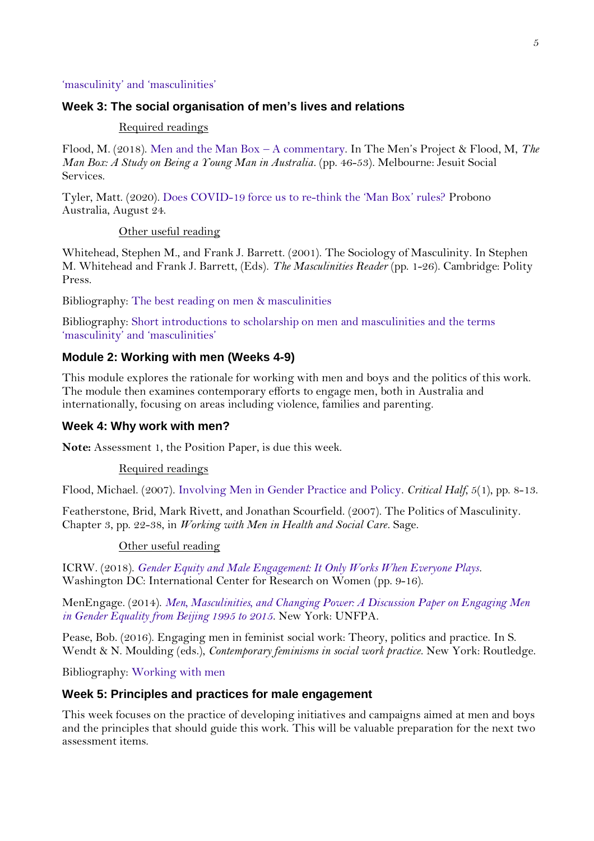## 'masculinity' and '[masculinities](https://xyonline.net/books/bibliography/2-best-reading-men-masculinities/short-introductions-scholarship-men-and-masculinities-and-terms-masculinity-and-masculinities)'

## <span id="page-4-0"></span>**Week 3: The social organisation of men's lives and relations**

#### Required readings

Flood, M. (2018). [Men and the Man Box](https://xyonline.net/sites/xyonline.net/files/2019-06/Flood%2C%20Men%20and%20the%20Man%20Box%20-%20report%20excerpt_0.pdf) – A commentary. In The Men's Project & Flood, M, *The Man Box: A Study on Being a Young Man in Australia*. (pp. 46-53). Melbourne: Jesuit Social Services.

Tyler, Matt. (2020). [Does COVID-19 force us to re-](https://probonoaustralia.com.au/news/2020/08/does-covid-19-force-us-to-re-think-the-man-box-rules/)think the 'Man Box' rules? Probono Australia, August 24.

## Other useful reading

Whitehead, Stephen M., and Frank J. Barrett. (2001). The Sociology of Masculinity. In Stephen M. Whitehead and Frank J. Barrett, (Eds). *The Masculinities Reader* (pp. 1-26). Cambridge: Polity Press.

Bibliography: [The best reading on men & masculinities](https://xyonline.net/books/bibliography/bibliography-0)

Bibliography: [Short introductions to scholarship on men and masculinities and the terms](https://xyonline.net/books/bibliography/2-best-reading-men-masculinities/short-introductions-scholarship-men-and-masculinities-and-terms-masculinity-and-masculinities)  'masculinity' and '[masculinities](https://xyonline.net/books/bibliography/2-best-reading-men-masculinities/short-introductions-scholarship-men-and-masculinities-and-terms-masculinity-and-masculinities)'

## <span id="page-4-1"></span>**Module 2: Working with men (Weeks 4-9)**

This module explores the rationale for working with men and boys and the politics of this work. The module then examines contemporary efforts to engage men, both in Australia and internationally, focusing on areas including violence, families and parenting.

#### <span id="page-4-2"></span>**Week 4: Why work with men?**

**Note:** Assessment 1, the Position Paper, is due this week.

#### Required readings

Flood, Michael. (2007). [Involving Men in Gender Practice and Policy.](https://xyonline.net/sites/xyonline.net/files/Flood%2C%20Involving%20Men%20in%20Gender%20Policy%20and%20Practice%2007.pdf) *Critical Half*, 5(1), pp. 8-13.

Featherstone, Brid, Mark Rivett, and Jonathan Scourfield. (2007). The Politics of Masculinity. Chapter 3, pp. 22-38, in *Working with Men in Health and Social Care*. Sage.

## Other useful reading

ICRW. (2018). *[Gender Equity and Male Engagement: It Only Works When Everyone Plays](https://reliefweb.int/report/world/gender-equity-male-engagement)*. Washington DC: International Center for Research on Women (pp. 9-16).

MenEngage. (2014). *[Men, Masculinities, and Changing Power: A Discussion Paper on Engaging Men](https://www.unfpa.org/resources/men-masculinities-and-changing-power)  [in Gender Equality from Beijing 1995 to 2015](https://www.unfpa.org/resources/men-masculinities-and-changing-power)*. New York: UNFPA.

Pease, Bob. (2016). Engaging men in feminist social work: Theory, politics and practice. In S. Wendt & N. Moulding (eds.), *Contemporary feminisms in social work practice*. New York: Routledge.

Bibliography: [Working with men](https://xyonline.net/books/bibliography/14-working-men)

## <span id="page-4-3"></span>**Week 5: Principles and practices for male engagement**

This week focuses on the practice of developing initiatives and campaigns aimed at men and boys and the principles that should guide this work. This will be valuable preparation for the next two assessment items.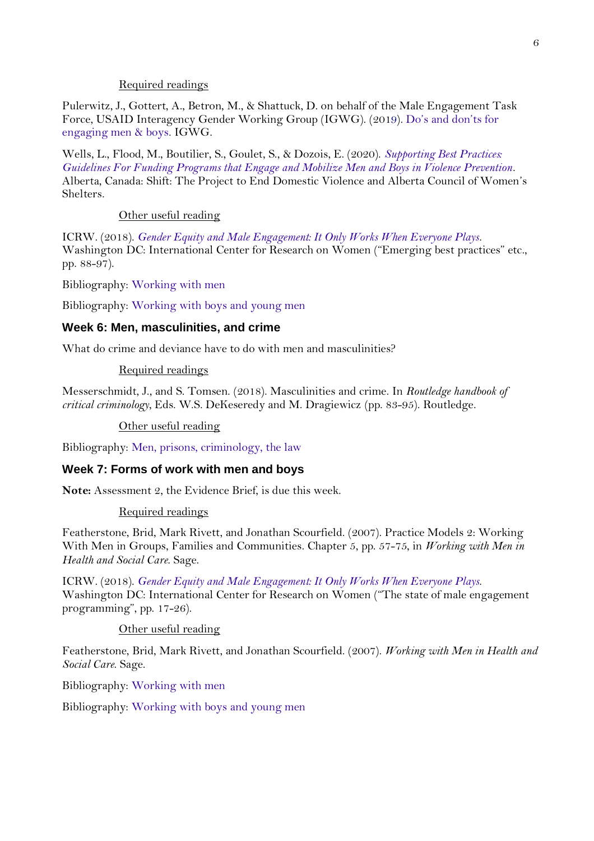## Required readings

Pulerwitz, J., Gottert, A., Betron, M., & Shattuck, D. on behalf of the Male Engagement Task Force, USAID Interagency Gender Working Group (IGWG). (2019). Do'[s and don](https://www.igwg.org/wp-content/uploads/2020/01/Male-Engagement_DosDonts_Final.pdf)'ts for [engaging men & boys.](https://www.igwg.org/wp-content/uploads/2020/01/Male-Engagement_DosDonts_Final.pdf) IGWG.

Wells, L., Flood, M., Boutilier, S., Goulet, S., & Dozois, E. (2020). *[Supporting Best Practices:](https://preventdomesticviolence.ca/supporting-best-practices-guidelines-for-funding-programs-that-engage-and-mobilize-men-boys-in-violence-prevention/)  [Guidelines For Funding Programs that Engage and Mobilize Men and Boys in Violence Prevention](https://preventdomesticviolence.ca/supporting-best-practices-guidelines-for-funding-programs-that-engage-and-mobilize-men-boys-in-violence-prevention/)*. Alberta, Canada: Shift: The Project to End Domestic Violence and Alberta Council of Women's Shelters.

## Other useful reading

ICRW. (2018). *[Gender Equity and Male Engagement: It Only Works When Everyone Plays](https://reliefweb.int/report/world/gender-equity-male-engagement)*. Washington DC: International Center for Research on Women ("Emerging best practices" etc., pp. 88-97).

Bibliography: [Working with men](https://xyonline.net/books/bibliography/14-working-men)

Bibliography: [Working with boys and young men](https://xyonline.net/books/bibliography/13-working-boys-and-young-men)

## <span id="page-5-0"></span>**Week 6: Men, masculinities, and crime**

What do crime and deviance have to do with men and masculinities?

## Required readings

Messerschmidt, J., and S. Tomsen. (2018). Masculinities and crime. In *Routledge handbook of critical criminology*, Eds. W.S. DeKeseredy and M. Dragiewicz (pp. 83-95). Routledge.

## Other useful reading

Bibliography: [Men, prisons, criminology, the law](https://xyonline.net/books/bibliography/bibliography-32)

## <span id="page-5-1"></span>**Week 7: Forms of work with men and boys**

**Note:** Assessment 2, the Evidence Brief, is due this week.

#### Required readings

Featherstone, Brid, Mark Rivett, and Jonathan Scourfield. (2007). Practice Models 2: Working With Men in Groups, Families and Communities. Chapter 5, pp. 57-75, in *Working with Men in Health and Social Care*. Sage.

ICRW. (2018). *[Gender Equity and Male Engagement: It Only Works When Everyone Plays](https://reliefweb.int/report/world/gender-equity-male-engagement)*. Washington DC: International Center for Research on Women ("The state of male engagement programming", pp. 17-26).

## Other useful reading

Featherstone, Brid, Mark Rivett, and Jonathan Scourfield. (2007). *Working with Men in Health and Social Care*. Sage.

Bibliography: [Working with men](https://xyonline.net/books/bibliography/14-working-men)

<span id="page-5-2"></span>Bibliography: [Working with boys](https://xyonline.net/books/bibliography/13-working-boys-and-young-men) and young men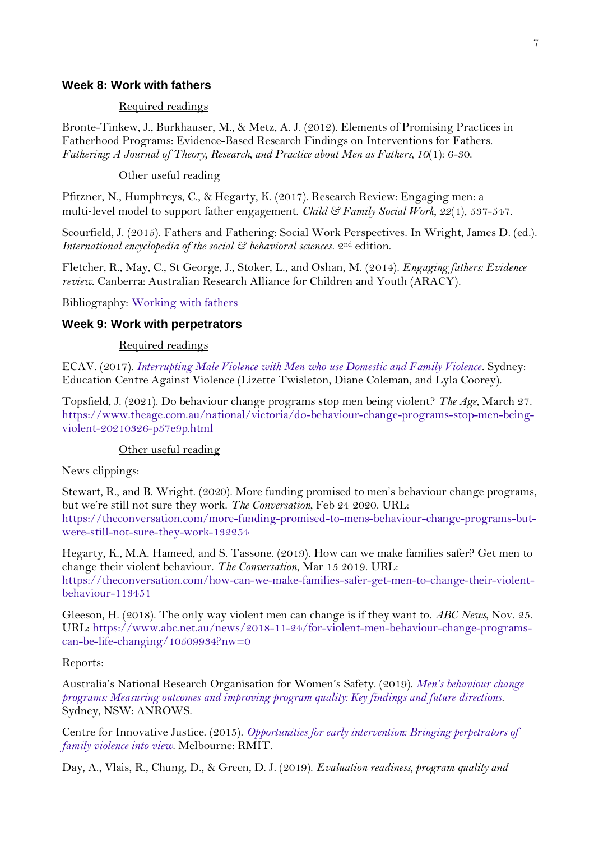## **Week 8: Work with fathers**

#### Required readings

Bronte-Tinkew, J., Burkhauser, M., & Metz, A. J. (2012). Elements of Promising Practices in Fatherhood Programs: Evidence-Based Research Findings on Interventions for Fathers. *Fathering: A Journal of Theory, Research, and Practice about Men as Fathers, 10*(1): 6-30.

Other useful reading

Pfitzner, N., Humphreys, C., & Hegarty, K. (2017). Research Review: Engaging men: a multi‐level model to support father engagement. *Child & Family Social Work, 22*(1), 537-547.

Scourfield, J. (2015). Fathers and Fathering: Social Work Perspectives. In Wright, James D. (ed.). *International encyclopedia of the social & behavioral sciences*. 2nd edition.

Fletcher, R., May, C., St George, J., Stoker, L., and Oshan, M. (2014). *Engaging fathers: Evidence review*. Canberra: Australian Research Alliance for Children and Youth (ARACY).

Bibliography: [Working with fathers](https://xyonline.net/books/bibliography/14-working-men/e-working-fathers-new)

## <span id="page-6-0"></span>**Week 9: Work with perpetrators**

## Required readings

ECAV. (2017). *[Interrupting Male Violence with Men who use Domestic and Family Violence](http://www.ecav.health.nsw.gov.au/knowledge-hub/positionpaper/)*. Sydney: Education Centre Against Violence (Lizette Twisleton, Diane Coleman, and Lyla Coorey).

Topsfield, J. (2021). Do behaviour change programs stop men being violent? *The Age*, March 27. [https://www.theage.com.au/national/victoria/do-behaviour-change-programs-stop-men-being](https://www.theage.com.au/national/victoria/do-behaviour-change-programs-stop-men-being-violent-20210326-p57e9p.html)[violent-20210326-p57e9p.html](https://www.theage.com.au/national/victoria/do-behaviour-change-programs-stop-men-being-violent-20210326-p57e9p.html)

## Other useful reading

News clippings:

Stewart, R., and B. Wright. (2020). More funding promised to men's behaviour change programs, but we're still not sure they work. *The Conversation*, Feb 24 2020. URL: [https://theconversation.com/more-funding-promised-to-mens-behaviour-change-programs-but](https://theconversation.com/more-funding-promised-to-mens-behaviour-change-programs-but-were-still-not-sure-they-work-132254)[were-still-not-sure-they-work-132254](https://theconversation.com/more-funding-promised-to-mens-behaviour-change-programs-but-were-still-not-sure-they-work-132254)

Hegarty, K., M.A. Hameed, and S. Tassone. (2019). How can we make families safer? Get men to change their violent behaviour. *The Conversation*, Mar 15 2019. URL: [https://theconversation.com/how-can-we-make-families-safer-get-men-to-change-their-violent](https://theconversation.com/how-can-we-make-families-safer-get-men-to-change-their-violent-behaviour-113451)[behaviour-113451](https://theconversation.com/how-can-we-make-families-safer-get-men-to-change-their-violent-behaviour-113451)

Gleeson, H. (2018). The only way violent men can change is if they want to. *ABC News*, Nov. 25. URL: [https://www.abc.net.au/news/2018-11-24/for-violent-men-behaviour-change-programs](https://www.abc.net.au/news/2018-11-24/for-violent-men-behaviour-change-programs-can-be-life-changing/10509934?nw=0)[can-be-life-changing/10509934?nw=0](https://www.abc.net.au/news/2018-11-24/for-violent-men-behaviour-change-programs-can-be-life-changing/10509934?nw=0)

## Reports:

Australia's National Research Organisation for Women's Safety. (2019). *Men'[s behaviour change](https://www.anrows.org.au/publication/mens-behaviour-change-programs-measuring-outcomes-and-improving-program-quality-key-findings-and-future-directions-2/)  [programs: Measuring outcomes and improving program quality: Key findings and future directions](https://www.anrows.org.au/publication/mens-behaviour-change-programs-measuring-outcomes-and-improving-program-quality-key-findings-and-future-directions-2/)*. Sydney, NSW: ANROWS.

Centre for Innovative Justice. (2015). *[Opportunities for early intervention: Bringing perpetrators of](https://cij.org.au/research-projects/opportunities-for-early-intervention-bringing-perpetrators-of-family-violence-into-view/)  [family violence into view](https://cij.org.au/research-projects/opportunities-for-early-intervention-bringing-perpetrators-of-family-violence-into-view/)*. Melbourne: RMIT.

Day, A., Vlais, R., Chung, D., & Green, D. J. (2019). *Evaluation readiness, program quality and*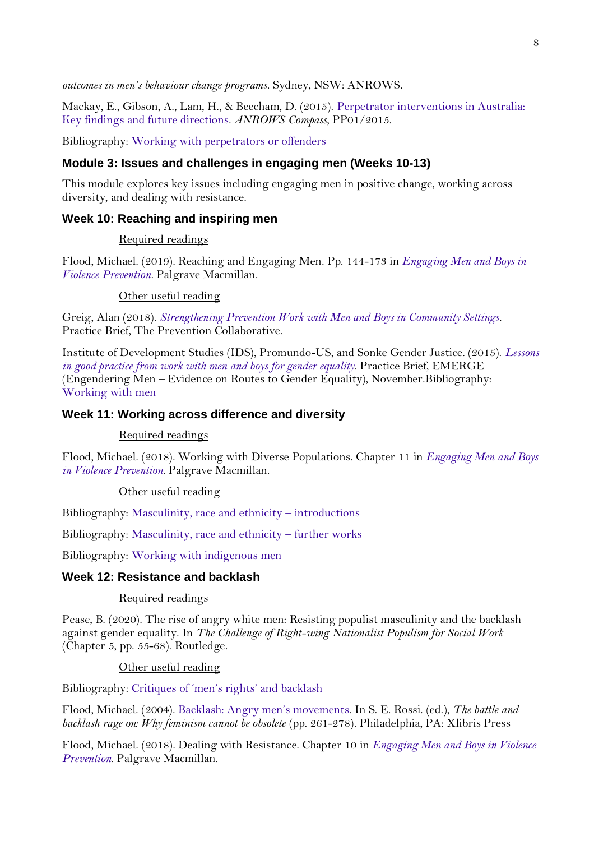*outcomes in men's behaviour change programs*. Sydney, NSW: ANROWS.

Mackay, E., Gibson, A., Lam, H., & Beecham, D. (2015). [Perpetrator interventions in Australia:](https://www.anrows.org.au/publication/perpetrator-interventions-in-australia-key-findings-and-future-directions/)  [Key findings and future directions.](https://www.anrows.org.au/publication/perpetrator-interventions-in-australia-key-findings-and-future-directions/) *ANROWS Compass*, PP01/2015.

Bibliography: [Working with perpetrators or offenders](https://xyonline.net/books/bibliography/14-working-men/h-working-perpetrators-or-offenders)

## <span id="page-7-0"></span>**Module 3: Issues and challenges in engaging men (Weeks 10-13)**

This module explores key issues including engaging men in positive change, working across diversity, and dealing with resistance.

## <span id="page-7-1"></span>**Week 10: Reaching and inspiring men**

## Required readings

Flood, Michael. (2019). Reaching and Engaging Men. Pp. 144-173 in *[Engaging Men and Boys in](https://xyonline.net/content/new-book-engaging-men-and-boys-violence-prevention)  [Violence Prevention](https://xyonline.net/content/new-book-engaging-men-and-boys-violence-prevention)*. Palgrave Macmillan.

## Other useful reading

Greig, Alan (2018). *[Strengthening Prevention Work with Men and Boys in Community Settings](https://prevention-collaborative.org/resource/strengthening-prevention-work-with-men-and-boys-in-community-settings/)*. Practice Brief, The Prevention Collaborative.

Institute of Development Studies (IDS), Promundo-US, and Sonke Gender Justice. (2015). *[Lessons](https://promundoglobal.org/resources/emerge-practice-brief-lessons-in-good-practice-from-work-with-men-and-boys-for-gender-equality/)  [in good practice from work with men and boys for gender equality](https://promundoglobal.org/resources/emerge-practice-brief-lessons-in-good-practice-from-work-with-men-and-boys-for-gender-equality/)*. Practice Brief, EMERGE (Engendering Men – Evidence on Routes to Gender Equality), November.Bibliography: [Working with men](https://xyonline.net/books/bibliography/14-working-men)

## <span id="page-7-2"></span>**Week 11: Working across difference and diversity**

## Required readings

Flood, Michael. (2018). Working with Diverse Populations. Chapter 11 in *[Engaging Men and Boys](https://xyonline.net/content/new-book-engaging-men-and-boys-violence-prevention)  [in Violence Prevention](https://xyonline.net/content/new-book-engaging-men-and-boys-violence-prevention)*. Palgrave Macmillan.

## Other useful reading

Bibliography: [Masculinity, race and ethnicity](https://xyonline.net/books/bibliography/15-race-ethnicity-countries-and-cultures/masculinities-and-race-ethnicity/i-introductions-and-overviews) – introductions

Bibliography: [Masculinity, race and ethnicity](https://xyonline.net/books/bibliography/bibliography-13) – further works

Bibliography: [Working with indigenous men](https://xyonline.net/books/bibliography/14-working-men/k-working-indigenous-men-new)

## <span id="page-7-3"></span>**Week 12: Resistance and backlash**

## Required readings

Pease, B. (2020). The rise of angry white men: Resisting populist masculinity and the backlash against gender equality. In *The Challenge of Right-wing Nationalist Populism for Social Work* (Chapter 5, pp. 55-68). Routledge.

## Other useful reading

Bibliography: [Critiques of](https://xyonline.net/books/bibliography/32-mens-rights-anti-feminist-backlash-and-critiques-feminism/b-critiques-mens-rights-etc) 'men's rights' and backlash

Flood, Michael. (2004). [Backlash: Angry men](https://xyonline.net/sites/xyonline.net/files/Flood%2C%20Backlash%20-%20Angry%20men_1.pdf)'s movements. In S. E. Rossi. (ed.), *The battle and backlash rage on: Why feminism cannot be obsolete* (pp. 261-278). Philadelphia, PA: Xlibris Press

Flood, Michael. (2018). Dealing with Resistance. Chapter 10 in *[Engaging Men and Boys in Violence](https://xyonline.net/content/new-book-engaging-men-and-boys-violence-prevention)  [Prevention](https://xyonline.net/content/new-book-engaging-men-and-boys-violence-prevention)*. Palgrave Macmillan.